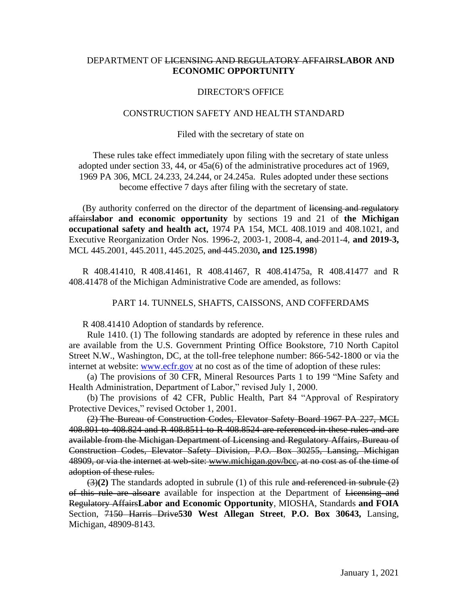# DEPARTMENT OF LICENSING AND REGULATORY AFFAIRS**LABOR AND ECONOMIC OPPORTUNITY**

## DIRECTOR'S OFFICE

### CONSTRUCTION SAFETY AND HEALTH STANDARD

#### Filed with the secretary of state on

These rules take effect immediately upon filing with the secretary of state unless adopted under section 33, 44, or 45a(6) of the administrative procedures act of 1969, 1969 PA 306, MCL 24.233, 24.244, or 24.245a. Rules adopted under these sections become effective 7 days after filing with the secretary of state.

(By authority conferred on the director of the department of licensing and regulatory affairs**labor and economic opportunity** by sections 19 and 21 of **the Michigan occupational safety and health act,** 1974 PA 154, MCL 408.1019 and 408.1021, and Executive Reorganization Order Nos. 1996-2, 2003-1, 2008-4, and 2011-4, **and 2019-3,**  MCL 445.2001, 445.2011, 445.2025, and 445.2030**, and 125.1998**)

R 408.41410, R 408.41461, R 408.41467, R 408.41475a, R 408.41477 and R 408.41478 of the Michigan Administrative Code are amended, as follows:

## PART 14. TUNNELS, SHAFTS, CAISSONS, AND COFFERDAMS

R 408.41410 Adoption of standards by reference.

 Rule 1410. (1) The following standards are adopted by reference in these rules and are available from the U.S. Government Printing Office Bookstore, 710 North Capitol Street N.W., Washington, DC, at the toll-free telephone number: 866-542-1800 or via the internet at website: [www.ecfr.gov](http://www.ecfr.gov/) at no cost as of the time of adoption of these rules:

 (a) The provisions of 30 CFR, Mineral Resources Parts 1 to 199 "Mine Safety and Health Administration, Department of Labor," revised July 1, 2000.

 (b) The provisions of 42 CFR, Public Health, Part 84 "Approval of Respiratory Protective Devices," revised October 1, 2001.

 (2) The Bureau of Construction Codes, Elevator Safety Board 1967 PA 227, MCL 408.801 to 408.824 and R 408.8511 to R 408.8524 are referenced in these rules and are available from the Michigan Department of Licensing and Regulatory Affairs, Bureau of Construction Codes, Elevator Safety Division, P.O. Box 30255, Lansing, Michigan 48909, or via the internet at web-site: www.michigan.gov/bcc, at no cost as of the time of adoption of these rules.

 (3)**(2)** The standards adopted in subrule (1) of this rule and referenced in subrule (2) of this rule are also**are** available for inspection at the Department of Licensing and Regulatory Affairs**Labor and Economic Opportunity**, MIOSHA, Standards **and FOIA** Section, 7150 Harris Drive**530 West Allegan Street**, **P.O. Box 30643,** Lansing, Michigan, 48909-8143.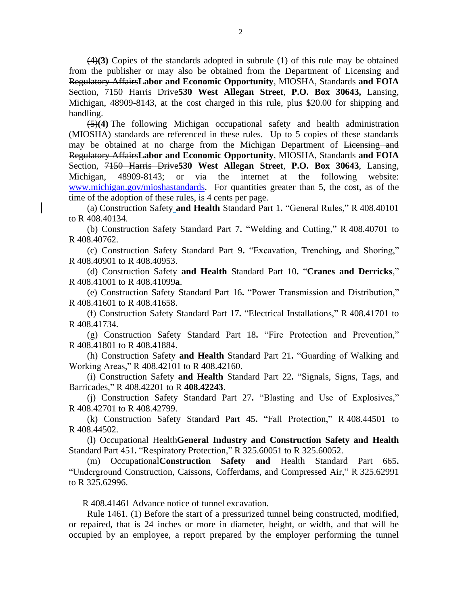(4)**(3)** Copies of the standards adopted in subrule (1) of this rule may be obtained from the publisher or may also be obtained from the Department of Licensing and Regulatory Affairs**Labor and Economic Opportunity**, MIOSHA, Standards **and FOIA** Section, 7150 Harris Drive**530 West Allegan Street**, **P.O. Box 30643,** Lansing, Michigan, 48909-8143, at the cost charged in this rule, plus \$20.00 for shipping and handling.

 (5)**(4)** The following Michigan occupational safety and health administration (MIOSHA) standards are referenced in these rules. Up to 5 copies of these standards may be obtained at no charge from the Michigan Department of Licensing and Regulatory Affairs**Labor and Economic Opportunity**, MIOSHA, Standards **and FOIA** Section, 7150 Harris Drive**530 West Allegan Street**, **P.O. Box 30643**, Lansing, Michigan, 48909-8143; or via the internet at the following website: [www.michigan.gov/mioshastandards.](http://www.michigan.gov/mioshastandards) For quantities greater than 5, the cost, as of the time of the adoption of these rules, is 4 cents per page.

 (a) Construction Safety **and Health** Standard Part 1**.** "General Rules," R 408.40101 to R 408.40134.

 (b) Construction Safety Standard Part 7**.** "Welding and Cutting," R 408.40701 to R 408.40762.

 (c) Construction Safety Standard Part 9**.** "Excavation, Trenching**,** and Shoring," R 408.40901 to R 408.40953.

(d) Construction Safety **and Health** Standard Part 10**.** "**Cranes and Derricks**," R 408.41001 to R 408.41099**a**.

 (e) Construction Safety Standard Part 16**.** "Power Transmission and Distribution," R 408.41601 to R 408.41658.

 (f) Construction Safety Standard Part 17**.** "Electrical Installations," R 408.41701 to R 408.41734.

 (g) Construction Safety Standard Part 18**.** "Fire Protection and Prevention," R 408.41801 to R 408.41884.

 (h) Construction Safety **and Health** Standard Part 21**.** "Guarding of Walking and Working Areas," R 408.42101 to R 408.42160.

 (i) Construction Safety **and Health** Standard Part 22**.** "Signals, Signs, Tags, and Barricades," R 408.42201 to R **408.42243**.

 (j) Construction Safety Standard Part 27**.** "Blasting and Use of Explosives," R 408.42701 to R 408.42799.

 (k) Construction Safety Standard Part 45**.** "Fall Protection," R 408.44501 to R 408.44502.

 (l) Occupational Health**General Industry and Construction Safety and Health** Standard Part 451**.** "Respiratory Protection," R 325.60051 to R 325.60052.

 (m) Occupational**Construction Safety and** Health Standard Part 665**.** "Underground Construction, Caissons, Cofferdams, and Compressed Air," R 325.62991 to R 325.62996.

R 408.41461 Advance notice of tunnel excavation.

Rule 1461. (1) Before the start of a pressurized tunnel being constructed, modified, or repaired, that is 24 inches or more in diameter, height, or width, and that will be occupied by an employee, a report prepared by the employer performing the tunnel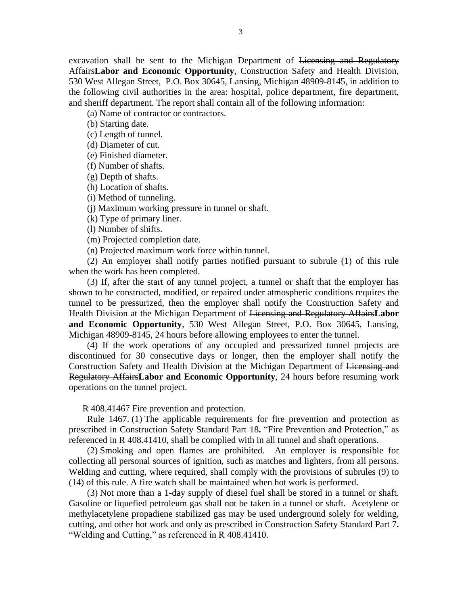excavation shall be sent to the Michigan Department of Licensing and Regulatory Affairs**Labor and Economic Opportunity**, Construction Safety and Health Division, 530 West Allegan Street, P.O. Box 30645, Lansing, Michigan 48909-8145, in addition to the following civil authorities in the area: hospital, police department, fire department, and sheriff department. The report shall contain all of the following information:

(a) Name of contractor or contractors.

(b) Starting date.

(c) Length of tunnel.

(d) Diameter of cut.

(e) Finished diameter.

(f) Number of shafts.

(g) Depth of shafts.

(h) Location of shafts.

(i) Method of tunneling.

(j) Maximum working pressure in tunnel or shaft.

(k) Type of primary liner.

(l) Number of shifts.

(m) Projected completion date.

(n) Projected maximum work force within tunnel.

 (2) An employer shall notify parties notified pursuant to subrule (1) of this rule when the work has been completed.

 (3) If, after the start of any tunnel project, a tunnel or shaft that the employer has shown to be constructed, modified, or repaired under atmospheric conditions requires the tunnel to be pressurized, then the employer shall notify the Construction Safety and Health Division at the Michigan Department of Licensing and Regulatory Affairs**Labor and Economic Opportunity**, 530 West Allegan Street, P.O. Box 30645, Lansing, Michigan 48909-8145, 24 hours before allowing employees to enter the tunnel.

 (4) If the work operations of any occupied and pressurized tunnel projects are discontinued for 30 consecutive days or longer, then the employer shall notify the Construction Safety and Health Division at the Michigan Department of Licensing and Regulatory Affairs**Labor and Economic Opportunity**, 24 hours before resuming work operations on the tunnel project.

R 408.41467 Fire prevention and protection.

 Rule 1467. (1) The applicable requirements for fire prevention and protection as prescribed in Construction Safety Standard Part 18**.** "Fire Prevention and Protection," as referenced in R 408.41410, shall be complied with in all tunnel and shaft operations.

 (2) Smoking and open flames are prohibited. An employer is responsible for collecting all personal sources of ignition, such as matches and lighters, from all persons. Welding and cutting, where required, shall comply with the provisions of subrules (9) to (14) of this rule. A fire watch shall be maintained when hot work is performed.

 (3) Not more than a 1-day supply of diesel fuel shall be stored in a tunnel or shaft. Gasoline or liquefied petroleum gas shall not be taken in a tunnel or shaft. Acetylene or methylacetylene propadiene stabilized gas may be used underground solely for welding, cutting, and other hot work and only as prescribed in Construction Safety Standard Part 7**.** "Welding and Cutting," as referenced in R 408.41410.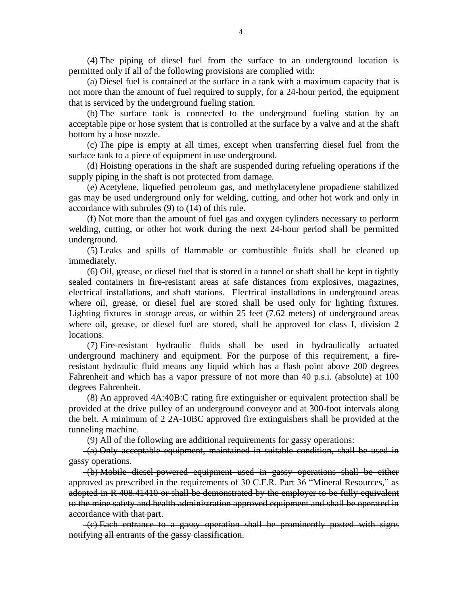(4) The piping of diesel fuel from the surface to an underground location is permitted only if all of the following provisions are complied with:

 (a) Diesel fuel is contained at the surface in a tank with a maximum capacity that is not more than the amount of fuel required to supply, for a 24-hour period, the equipment that is serviced by the underground fueling station.

 (b) The surface tank is connected to the underground fueling station by an acceptable pipe or hose system that is controlled at the surface by a valve and at the shaft bottom by a hose nozzle.

 (c) The pipe is empty at all times, except when transferring diesel fuel from the surface tank to a piece of equipment in use underground.

 (d) Hoisting operations in the shaft are suspended during refueling operations if the supply piping in the shaft is not protected from damage.

 (e) Acetylene, liquefied petroleum gas, and methylacetylene propadiene stabilized gas may be used underground only for welding, cutting, and other hot work and only in accordance with subrules (9) to (14) of this rule.

 (f) Not more than the amount of fuel gas and oxygen cylinders necessary to perform welding, cutting, or other hot work during the next 24-hour period shall be permitted underground.

 (5) Leaks and spills of flammable or combustible fluids shall be cleaned up immediately.

 (6) Oil, grease, or diesel fuel that is stored in a tunnel or shaft shall be kept in tightly sealed containers in fire-resistant areas at safe distances from explosives, magazines, electrical installations, and shaft stations. Electrical installations in underground areas where oil, grease, or diesel fuel are stored shall be used only for lighting fixtures. Lighting fixtures in storage areas, or within 25 feet (7.62 meters) of underground areas where oil, grease, or diesel fuel are stored, shall be approved for class I, division 2 locations.

 (7) Fire-resistant hydraulic fluids shall be used in hydraulically actuated underground machinery and equipment. For the purpose of this requirement, a fireresistant hydraulic fluid means any liquid which has a flash point above 200 degrees Fahrenheit and which has a vapor pressure of not more than 40 p.s.i. (absolute) at 100 degrees Fahrenheit.

 (8) An approved 4A:40B:C rating fire extinguisher or equivalent protection shall be provided at the drive pulley of an underground conveyor and at 300-foot intervals along the belt. A minimum of 2 2A-10BC approved fire extinguishers shall be provided at the tunneling machine.

(9) All of the following are additional requirements for gassy operations:

 $-(a)$  Only acceptable equipment, maintained in suitable condition, shall be used in gassy operations.

 (b) Mobile diesel-powered equipment used in gassy operations shall be either approved as prescribed in the requirements of 30 C.F.R. Part 36 "Mineral Resources," as adopted in R 408.41410 or shall be demonstrated by the employer to be fully equivalent to the mine safety and health administration approved equipment and shall be operated in accordance with that part.

 (c) Each entrance to a gassy operation shall be prominently posted with signs notifying all entrants of the gassy classification.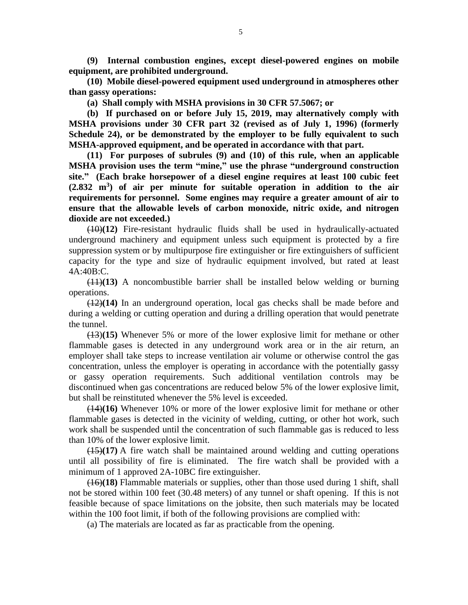**(9) Internal combustion engines, except diesel-powered engines on mobile equipment, are prohibited underground.**

 **(10) Mobile diesel-powered equipment used underground in atmospheres other than gassy operations:**

 **(a) Shall comply with MSHA provisions in 30 CFR 57.5067; or** 

 **(b) If purchased on or before July 15, 2019, may alternatively comply with MSHA provisions under 30 CFR part 32 (revised as of July 1, 1996) (formerly Schedule 24), or be demonstrated by the employer to be fully equivalent to such MSHA-approved equipment, and be operated in accordance with that part.**

 **(11) For purposes of subrules (9) and (10) of this rule, when an applicable MSHA provision uses the term "mine," use the phrase "underground construction site." (Each brake horsepower of a diesel engine requires at least 100 cubic feet (2.832 m<sup>3</sup> ) of air per minute for suitable operation in addition to the air requirements for personnel. Some engines may require a greater amount of air to ensure that the allowable levels of carbon monoxide, nitric oxide, and nitrogen dioxide are not exceeded.)**

 (10)**(12)** Fire-resistant hydraulic fluids shall be used in hydraulically-actuated underground machinery and equipment unless such equipment is protected by a fire suppression system or by multipurpose fire extinguisher or fire extinguishers of sufficient capacity for the type and size of hydraulic equipment involved, but rated at least 4A:40B:C.

 (11)**(13)** A noncombustible barrier shall be installed below welding or burning operations.

 (12)**(14)** In an underground operation, local gas checks shall be made before and during a welding or cutting operation and during a drilling operation that would penetrate the tunnel.

 (13)**(15)** Whenever 5% or more of the lower explosive limit for methane or other flammable gases is detected in any underground work area or in the air return, an employer shall take steps to increase ventilation air volume or otherwise control the gas concentration, unless the employer is operating in accordance with the potentially gassy or gassy operation requirements. Such additional ventilation controls may be discontinued when gas concentrations are reduced below 5% of the lower explosive limit, but shall be reinstituted whenever the 5% level is exceeded.

 (14)**(16)** Whenever 10% or more of the lower explosive limit for methane or other flammable gases is detected in the vicinity of welding, cutting, or other hot work, such work shall be suspended until the concentration of such flammable gas is reduced to less than 10% of the lower explosive limit.

 (15)**(17)** A fire watch shall be maintained around welding and cutting operations until all possibility of fire is eliminated. The fire watch shall be provided with a minimum of 1 approved 2A-10BC fire extinguisher.

 (16)**(18)** Flammable materials or supplies, other than those used during 1 shift, shall not be stored within 100 feet (30.48 meters) of any tunnel or shaft opening. If this is not feasible because of space limitations on the jobsite, then such materials may be located within the 100 foot limit, if both of the following provisions are complied with:

(a) The materials are located as far as practicable from the opening.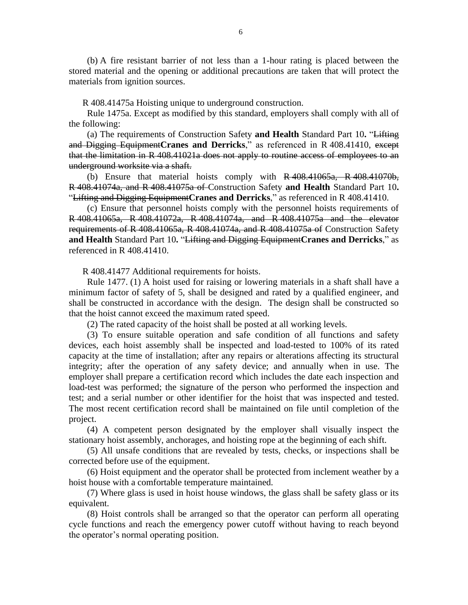(b) A fire resistant barrier of not less than a 1-hour rating is placed between the stored material and the opening or additional precautions are taken that will protect the materials from ignition sources.

R 408.41475a Hoisting unique to underground construction.

 Rule 1475a. Except as modified by this standard, employers shall comply with all of the following:

 (a) The requirements of Construction Safety **and Health** Standard Part 10**.** "Lifting and Digging Equipment Cranes and Derricks," as referenced in R 408.41410, except that the limitation in R 408.41021a does not apply to routine access of employees to an underground worksite via a shaft.

 (b) Ensure that material hoists comply with R 408.41065a, R 408.41070b, R 408.41074a, and R 408.41075a of Construction Safety **and Health** Standard Part 10**.** "Lifting and Digging Equipment**Cranes and Derricks**," as referenced in R 408.41410.

 (c) Ensure that personnel hoists comply with the personnel hoists requirements of R 408.41065a, R 408.41072a, R 408.41074a, and R 408.41075a and the elevator requirements of R 408.41065a, R 408.41074a, and R 408.41075a of Construction Safety **and Health** Standard Part 10**.** "Lifting and Digging Equipment**Cranes and Derricks**," as referenced in R 408.41410.

R 408.41477 Additional requirements for hoists.

 Rule 1477. (1) A hoist used for raising or lowering materials in a shaft shall have a minimum factor of safety of 5, shall be designed and rated by a qualified engineer, and shall be constructed in accordance with the design. The design shall be constructed so that the hoist cannot exceed the maximum rated speed.

(2) The rated capacity of the hoist shall be posted at all working levels.

 (3) To ensure suitable operation and safe condition of all functions and safety devices, each hoist assembly shall be inspected and load-tested to 100% of its rated capacity at the time of installation; after any repairs or alterations affecting its structural integrity; after the operation of any safety device; and annually when in use. The employer shall prepare a certification record which includes the date each inspection and load-test was performed; the signature of the person who performed the inspection and test; and a serial number or other identifier for the hoist that was inspected and tested. The most recent certification record shall be maintained on file until completion of the project.

 (4) A competent person designated by the employer shall visually inspect the stationary hoist assembly, anchorages, and hoisting rope at the beginning of each shift.

 (5) All unsafe conditions that are revealed by tests, checks, or inspections shall be corrected before use of the equipment.

 (6) Hoist equipment and the operator shall be protected from inclement weather by a hoist house with a comfortable temperature maintained.

 (7) Where glass is used in hoist house windows, the glass shall be safety glass or its equivalent.

 (8) Hoist controls shall be arranged so that the operator can perform all operating cycle functions and reach the emergency power cutoff without having to reach beyond the operator's normal operating position.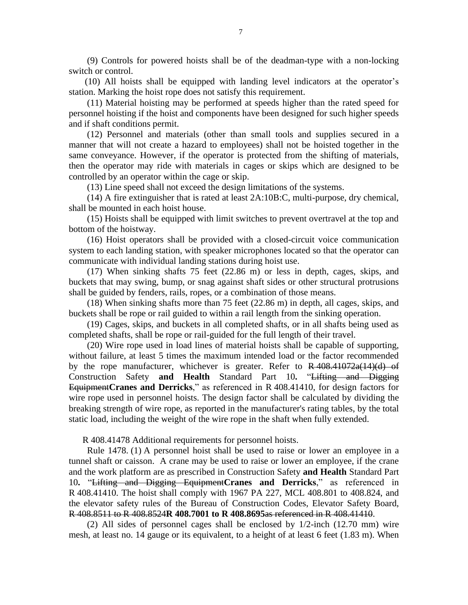(9) Controls for powered hoists shall be of the deadman-type with a non-locking switch or control.

(10) All hoists shall be equipped with landing level indicators at the operator's station. Marking the hoist rope does not satisfy this requirement.

 (11) Material hoisting may be performed at speeds higher than the rated speed for personnel hoisting if the hoist and components have been designed for such higher speeds and if shaft conditions permit.

 (12) Personnel and materials (other than small tools and supplies secured in a manner that will not create a hazard to employees) shall not be hoisted together in the same conveyance. However, if the operator is protected from the shifting of materials, then the operator may ride with materials in cages or skips which are designed to be controlled by an operator within the cage or skip.

(13) Line speed shall not exceed the design limitations of the systems.

 (14) A fire extinguisher that is rated at least 2A:10B:C, multi-purpose, dry chemical, shall be mounted in each hoist house.

 (15) Hoists shall be equipped with limit switches to prevent overtravel at the top and bottom of the hoistway.

 (16) Hoist operators shall be provided with a closed-circuit voice communication system to each landing station, with speaker microphones located so that the operator can communicate with individual landing stations during hoist use.

 (17) When sinking shafts 75 feet (22.86 m) or less in depth, cages, skips, and buckets that may swing, bump, or snag against shaft sides or other structural protrusions shall be guided by fenders, rails, ropes, or a combination of those means.

 (18) When sinking shafts more than 75 feet (22.86 m) in depth, all cages, skips, and buckets shall be rope or rail guided to within a rail length from the sinking operation.

 (19) Cages, skips, and buckets in all completed shafts, or in all shafts being used as completed shafts, shall be rope or rail-guided for the full length of their travel.

 (20) Wire rope used in load lines of material hoists shall be capable of supporting, without failure, at least 5 times the maximum intended load or the factor recommended by the rope manufacturer, whichever is greater. Refer to  $R$  408.41072a(14)(d) of Construction Safety **and Health** Standard Part 10**.** "Lifting and Digging Equipment**Cranes and Derricks**," as referenced in R 408.41410, for design factors for wire rope used in personnel hoists. The design factor shall be calculated by dividing the breaking strength of wire rope, as reported in the manufacturer's rating tables, by the total static load, including the weight of the wire rope in the shaft when fully extended.

R 408.41478 Additional requirements for personnel hoists.

 Rule 1478. (1) A personnel hoist shall be used to raise or lower an employee in a tunnel shaft or caisson. A crane may be used to raise or lower an employee, if the crane and the work platform are as prescribed in Construction Safety **and Health** Standard Part 10**.** "Lifting and Digging Equipment**Cranes and Derricks**," as referenced in R 408.41410. The hoist shall comply with 1967 PA 227, MCL 408.801 to 408.824, and the elevator safety rules of the Bureau of Construction Codes, Elevator Safety Board, R 408.8511 to R 408.8524**R 408.7001 to R 408.8695**as referenced in R 408.41410.

 (2) All sides of personnel cages shall be enclosed by 1/2-inch (12.70 mm) wire mesh, at least no. 14 gauge or its equivalent, to a height of at least 6 feet (1.83 m). When